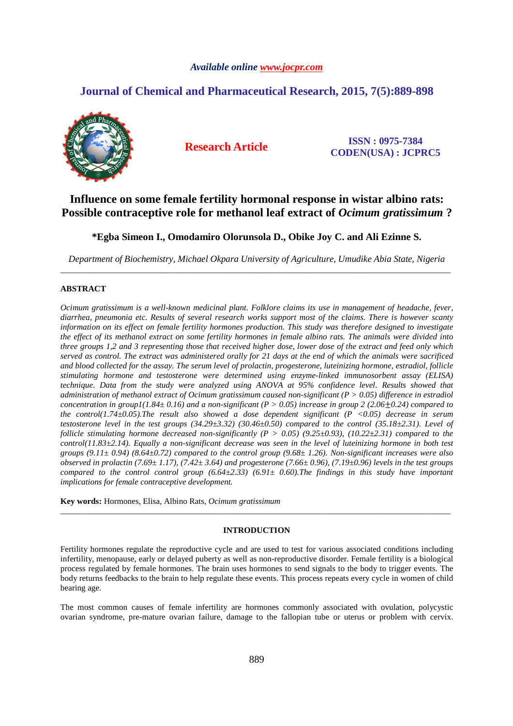# *Available online www.jocpr.com*

# **Journal of Chemical and Pharmaceutical Research, 2015, 7(5):889-898**



**Research Article ISSN : 0975-7384 CODEN(USA) : JCPRC5**

# **Influence on some female fertility hormonal response in wistar albino rats: Possible contraceptive role for methanol leaf extract of** *Ocimum gratissimum* **?**

**\*Egba Simeon I., Omodamiro Olorunsola D., Obike Joy C. and Ali Ezinne S.** 

*Department of Biochemistry, Michael Okpara University of Agriculture, Umudike Abia State, Nigeria*  \_\_\_\_\_\_\_\_\_\_\_\_\_\_\_\_\_\_\_\_\_\_\_\_\_\_\_\_\_\_\_\_\_\_\_\_\_\_\_\_\_\_\_\_\_\_\_\_\_\_\_\_\_\_\_\_\_\_\_\_\_\_\_\_\_\_\_\_\_\_\_\_\_\_\_\_\_\_\_\_\_\_\_\_\_\_\_\_\_\_\_\_\_

# **ABSTRACT**

*Ocimum gratissimum is a well-known medicinal plant. Folklore claims its use in management of headache, fever, diarrhea, pneumonia etc. Results of several research works support most of the claims. There is however scanty information on its effect on female fertility hormones production. This study was therefore designed to investigate the effect of its methanol extract on some fertility hormones in female albino rats. The animals were divided into three groups 1,2 and 3 representing those that received higher dose, lower dose of the extract and feed only which served as control. The extract was administered orally for 21 days at the end of which the animals were sacrificed and blood collected for the assay. The serum level of prolactin, progesterone, luteinizing hormone, estradiol, follicle stimulating hormone and testosterone were determined using enzyme-linked immunosorbent assay (ELISA) technique. Data from the study were analyzed using ANOVA at 95% confidence level. Results showed that administration of methanol extract of Ocimum gratissimum caused non-significant (P > 0.05) difference in estradiol concentration in group1(1.84± 0.16) and a non-significant (P > 0.05) increase in group 2 (2.06+0.24) compared to the control(1.74±0.05).The result also showed a dose dependent significant (P <0.05) decrease in serum testosterone level in the test groups (34.29±3.32) (30.46±0.50) compared to the control (35.18±2.31). Level of follicle stimulating hormone decreased non-significantly (P > 0.05) (9.25* $\pm$ *0.93), (10.22* $\pm$ *2.31) compared to the control(11.83±2.14). Equally a non-significant decrease was seen in the level of luteinizing hormone in both test groups (9.11± 0.94) (8.64±0.72) compared to the control group (9.68± 1.26). Non-significant increases were also observed in prolactin (7.69± 1.17), (7.42± 3.64) and progesterone (7.66± 0.96), (7.19±0.96) levels in the test groups compared to the control control group (6.64±2.33) (6.91± 0.60).The findings in this study have important implications for female contraceptive development.* 

**Key words:** Hormones, Elisa, Albino Rats, *Ocimum gratissimum*

### **INTRODUCTION**

\_\_\_\_\_\_\_\_\_\_\_\_\_\_\_\_\_\_\_\_\_\_\_\_\_\_\_\_\_\_\_\_\_\_\_\_\_\_\_\_\_\_\_\_\_\_\_\_\_\_\_\_\_\_\_\_\_\_\_\_\_\_\_\_\_\_\_\_\_\_\_\_\_\_\_\_\_\_\_\_\_\_\_\_\_\_\_\_\_\_\_\_\_

Fertility hormones regulate the reproductive cycle and are used to test for various associated conditions including infertility, menopause, early or delayed puberty as well as non-reproductive disorder. Female fertility is a biological process regulated by female hormones. The brain uses hormones to send signals to the body to trigger events. The body returns feedbacks to the brain to help regulate these events. This process repeats every cycle in women of child bearing age.

The most common causes of female infertility are hormones commonly associated with ovulation, polycystic ovarian syndrome, pre-mature ovarian failure, damage to the fallopian tube or uterus or problem with cervix.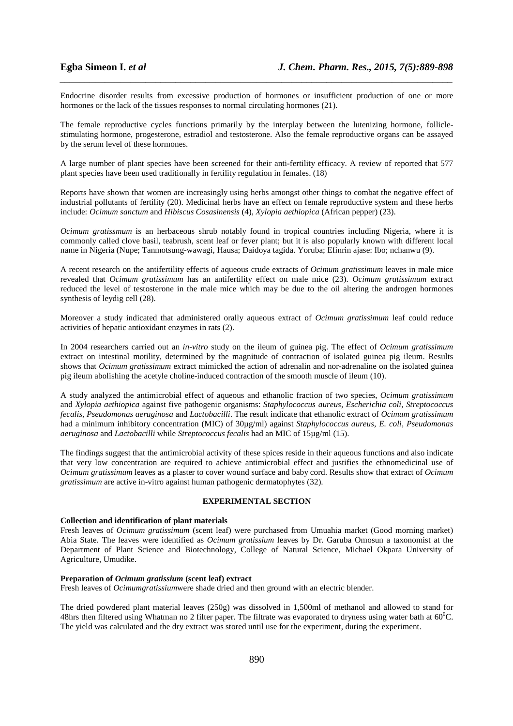Endocrine disorder results from excessive production of hormones or insufficient production of one or more hormones or the lack of the tissues responses to normal circulating hormones (21).

*\_\_\_\_\_\_\_\_\_\_\_\_\_\_\_\_\_\_\_\_\_\_\_\_\_\_\_\_\_\_\_\_\_\_\_\_\_\_\_\_\_\_\_\_\_\_\_\_\_\_\_\_\_\_\_\_\_\_\_\_\_\_\_\_\_\_\_\_\_\_\_\_\_\_\_\_\_\_*

The female reproductive cycles functions primarily by the interplay between the lutenizing hormone, folliclestimulating hormone, progesterone, estradiol and testosterone. Also the female reproductive organs can be assayed by the serum level of these hormones.

A large number of plant species have been screened for their anti-fertility efficacy. A review of reported that 577 plant species have been used traditionally in fertility regulation in females. (18)

Reports have shown that women are increasingly using herbs amongst other things to combat the negative effect of industrial pollutants of fertility (20). Medicinal herbs have an effect on female reproductive system and these herbs include: *Ocimum sanctum* and *Hibiscus Cosasinensis* (4), *Xylopia aethiopica* (African pepper) (23).

*Ocimum gratissmum* is an herbaceous shrub notably found in tropical countries including Nigeria, where it is commonly called clove basil, teabrush, scent leaf or fever plant; but it is also popularly known with different local name in Nigeria (Nupe; Tanmotsung-wawagi, Hausa; Daidoya tagida. Yoruba; Efinrin ajase: Ibo; nchanwu (9).

A recent research on the antifertility effects of aqueous crude extracts of *Ocimum gratissimum* leaves in male mice revealed that *Ocimum gratissimum* has an antifertility effect on male mice (23). *Ocimum gratissimum* extract reduced the level of testosterone in the male mice which may be due to the oil altering the androgen hormones synthesis of leydig cell (28).

Moreover a study indicated that administered orally aqueous extract of *Ocimum gratissimum* leaf could reduce activities of hepatic antioxidant enzymes in rats (2).

In 2004 researchers carried out an *in-vitro* study on the ileum of guinea pig. The effect of *Ocimum gratissimum* extract on intestinal motility, determined by the magnitude of contraction of isolated guinea pig ileum. Results shows that *Ocimum gratissimum* extract mimicked the action of adrenalin and nor-adrenaline on the isolated guinea pig ileum abolishing the acetyle choline-induced contraction of the smooth muscle of ileum (10).

A study analyzed the antimicrobial effect of aqueous and ethanolic fraction of two species, *Ocimum gratissimum*  and *Xylopia aethiopica* against five pathogenic organisms: *Staphylococcus aureus, Escherichia coli, Streptococcus fecalis, Pseudomonas aeruginosa* and *Lactobacilli*. The result indicate that ethanolic extract of *Ocimum gratissimum* had a minimum inhibitory concentration (MIC) of 30µg/ml) against *Staphylococcus aureus, E. coli, Pseudomonas aeruginosa* and *Lactobacilli* while *Streptococcus fecalis* had an MIC of 15µg/ml (15).

The findings suggest that the antimicrobial activity of these spices reside in their aqueous functions and also indicate that very low concentration are required to achieve antimicrobial effect and justifies the ethnomedicinal use of *Ocimum gratissimum* leaves as a plaster to cover wound surface and baby cord. Results show that extract of *Ocimum gratissimum* are active in-vitro against human pathogenic dermatophytes (32).

# **EXPERIMENTAL SECTION**

### **Collection and identification of plant materials**

Fresh leaves of *Ocimum gratissimum* (scent leaf) were purchased from Umuahia market (Good morning market) Abia State. The leaves were identified as *Ocimum gratissium* leaves by Dr. Garuba Omosun a taxonomist at the Department of Plant Science and Biotechnology, College of Natural Science, Michael Okpara University of Agriculture, Umudike.

#### **Preparation of** *Ocimum gratissium* **(scent leaf) extract**

Fresh leaves of *Ocimumgratissium*were shade dried and then ground with an electric blender.

The dried powdered plant material leaves (250g) was dissolved in 1,500ml of methanol and allowed to stand for 48hrs then filtered using Whatman no 2 filter paper. The filtrate was evaporated to dryness using water bath at  $60^{\circ}$ C. The yield was calculated and the dry extract was stored until use for the experiment, during the experiment.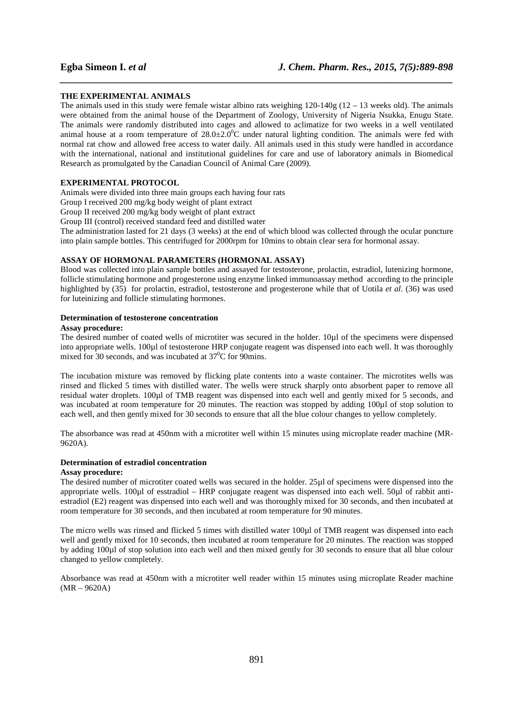#### **THE EXPERIMENTAL ANIMALS**

The animals used in this study were female wistar albino rats weighing  $120-140g(12-13$  weeks old). The animals were obtained from the animal house of the Department of Zoology, University of Nigeria Nsukka, Enugu State. The animals were randomly distributed into cages and allowed to aclimatize for two weeks in a well ventilated animal house at a room temperature of  $28.0\pm2.0^{\circ}$ C under natural lighting condition. The animals were fed with normal rat chow and allowed free access to water daily. All animals used in this study were handled in accordance with the international, national and institutional guidelines for care and use of laboratory animals in Biomedical Research as promulgated by the Canadian Council of Animal Care (2009).

*\_\_\_\_\_\_\_\_\_\_\_\_\_\_\_\_\_\_\_\_\_\_\_\_\_\_\_\_\_\_\_\_\_\_\_\_\_\_\_\_\_\_\_\_\_\_\_\_\_\_\_\_\_\_\_\_\_\_\_\_\_\_\_\_\_\_\_\_\_\_\_\_\_\_\_\_\_\_*

#### **EXPERIMENTAL PROTOCOL**

Animals were divided into three main groups each having four rats

Group I received 200 mg/kg body weight of plant extract

Group II received 200 mg/kg body weight of plant extract

Group III (control) received standard feed and distilled water

The administration lasted for 21 days (3 weeks) at the end of which blood was collected through the ocular puncture into plain sample bottles. This centrifuged for 2000rpm for 10mins to obtain clear sera for hormonal assay.

### **ASSAY OF HORMONAL PARAMETERS (HORMONAL ASSAY)**

Blood was collected into plain sample bottles and assayed for testosterone, prolactin, estradiol, lutenizing hormone, follicle stimulating hormone and progesterone using enzyme linked immunoassay method according to the principle highlighted by (35) for prolactin, estradiol, testosterone and progesterone while that of Uotila *et al*. (36) was used for luteinizing and follicle stimulating hormones.

# **Determination of testosterone concentration**

#### **Assay procedure:**

The desired number of coated wells of microtiter was secured in the holder. 10µl of the specimens were dispensed into appropriate wells. 100µl of testosterone HRP conjugate reagent was dispensed into each well. It was thoroughly mixed for 30 seconds, and was incubated at 37<sup>0</sup>C for 90mins.

The incubation mixture was removed by flicking plate contents into a waste container. The microtites wells was rinsed and flicked 5 times with distilled water. The wells were struck sharply onto absorbent paper to remove all residual water droplets. 100µl of TMB reagent was dispensed into each well and gently mixed for 5 seconds, and was incubated at room temperature for 20 minutes. The reaction was stopped by adding 100µl of stop solution to each well, and then gently mixed for 30 seconds to ensure that all the blue colour changes to yellow completely.

The absorbance was read at 450nm with a microtiter well within 15 minutes using microplate reader machine (MR-9620A).

#### **Determination of estradiol concentration**

#### **Assay procedure:**

The desired number of microtiter coated wells was secured in the holder. 25µl of specimens were dispensed into the appropriate wells. 100µl of esstradiol – HRP conjugate reagent was dispensed into each well. 50µl of rabbit antiestradiol (E2) reagent was dispensed into each well and was thoroughly mixed for 30 seconds, and then incubated at room temperature for 30 seconds, and then incubated at room temperature for 90 minutes.

The micro wells was rinsed and flicked 5 times with distilled water 100µl of TMB reagent was dispensed into each well and gently mixed for 10 seconds, then incubated at room temperature for 20 minutes. The reaction was stopped by adding 100µl of stop solution into each well and then mixed gently for 30 seconds to ensure that all blue colour changed to yellow completely.

Absorbance was read at 450nm with a microtiter well reader within 15 minutes using microplate Reader machine (MR – 9620A)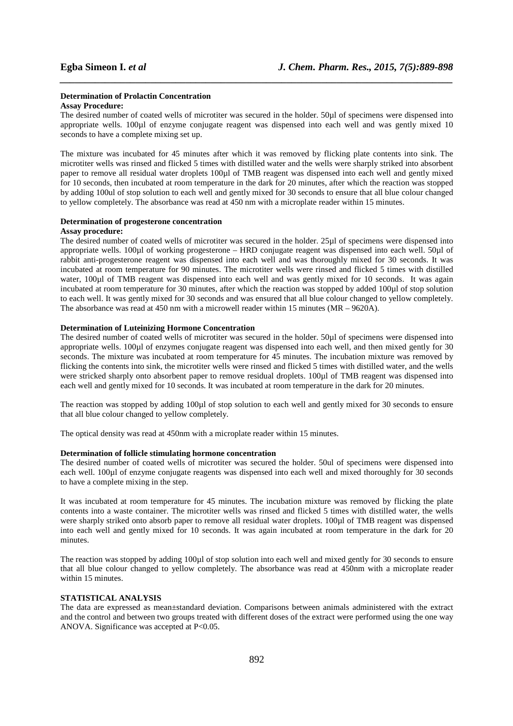# **Determination of Prolactin Concentration**

# **Assay Procedure:**

The desired number of coated wells of microtiter was secured in the holder. 50µl of specimens were dispensed into appropriate wells. 100µl of enzyme conjugate reagent was dispensed into each well and was gently mixed 10 seconds to have a complete mixing set up.

*\_\_\_\_\_\_\_\_\_\_\_\_\_\_\_\_\_\_\_\_\_\_\_\_\_\_\_\_\_\_\_\_\_\_\_\_\_\_\_\_\_\_\_\_\_\_\_\_\_\_\_\_\_\_\_\_\_\_\_\_\_\_\_\_\_\_\_\_\_\_\_\_\_\_\_\_\_\_*

The mixture was incubated for 45 minutes after which it was removed by flicking plate contents into sink. The microtiter wells was rinsed and flicked 5 times with distilled water and the wells were sharply striked into absorbent paper to remove all residual water droplets 100µl of TMB reagent was dispensed into each well and gently mixed for 10 seconds, then incubated at room temperature in the dark for 20 minutes, after which the reaction was stopped by adding 100ul of stop solution to each well and gently mixed for 30 seconds to ensure that all blue colour changed to yellow completely. The absorbance was read at 450 nm with a microplate reader within 15 minutes.

#### **Determination of progesterone concentration**

#### **Assay procedure:**

The desired number of coated wells of microtiter was secured in the holder. 25µl of specimens were dispensed into appropriate wells. 100µl of working progesterone – HRD conjugate reagent was dispensed into each well. 50µl of rabbit anti-progesterone reagent was dispensed into each well and was thoroughly mixed for 30 seconds. It was incubated at room temperature for 90 minutes. The microtiter wells were rinsed and flicked 5 times with distilled water, 100µl of TMB reagent was dispensed into each well and was gently mixed for 10 seconds. It was again incubated at room temperature for 30 minutes, after which the reaction was stopped by added 100µl of stop solution to each well. It was gently mixed for 30 seconds and was ensured that all blue colour changed to yellow completely. The absorbance was read at 450 nm with a microwell reader within 15 minutes  $(MR - 9620A)$ .

#### **Determination of Luteinizing Hormone Concentration**

The desired number of coated wells of microtiter was secured in the holder. 50µl of specimens were dispensed into appropriate wells. 100µl of enzymes conjugate reagent was dispensed into each well, and then mixed gently for 30 seconds. The mixture was incubated at room temperature for 45 minutes. The incubation mixture was removed by flicking the contents into sink, the microtiter wells were rinsed and flicked 5 times with distilled water, and the wells were stricked sharply onto absorbent paper to remove residual droplets. 100 $\mu$ l of TMB reagent was dispensed into each well and gently mixed for 10 seconds. It was incubated at room temperature in the dark for 20 minutes.

The reaction was stopped by adding 100µl of stop solution to each well and gently mixed for 30 seconds to ensure that all blue colour changed to yellow completely.

The optical density was read at 450nm with a microplate reader within 15 minutes.

#### **Determination of follicle stimulating hormone concentration**

The desired number of coated wells of microtiter was secured the holder. 50ul of specimens were dispensed into each well. 100µl of enzyme conjugate reagents was dispensed into each well and mixed thoroughly for 30 seconds to have a complete mixing in the step.

It was incubated at room temperature for 45 minutes. The incubation mixture was removed by flicking the plate contents into a waste container. The microtiter wells was rinsed and flicked 5 times with distilled water, the wells were sharply striked onto absorb paper to remove all residual water droplets. 100 $\mu$ l of TMB reagent was dispensed into each well and gently mixed for 10 seconds. It was again incubated at room temperature in the dark for 20 minutes.

The reaction was stopped by adding 100µl of stop solution into each well and mixed gently for 30 seconds to ensure that all blue colour changed to yellow completely. The absorbance was read at 450nm with a microplate reader within 15 minutes.

## **STATISTICAL ANALYSIS**

The data are expressed as mean±standard deviation. Comparisons between animals administered with the extract and the control and between two groups treated with different doses of the extract were performed using the one way ANOVA. Significance was accepted at P<0.05.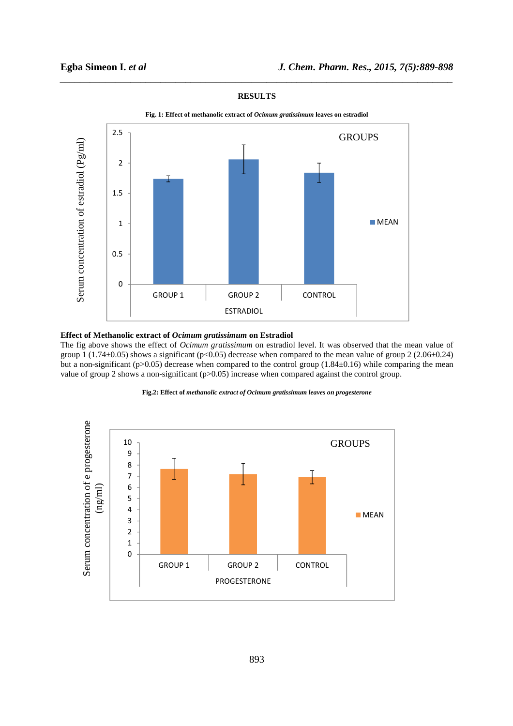

# **RESULTS**

*\_\_\_\_\_\_\_\_\_\_\_\_\_\_\_\_\_\_\_\_\_\_\_\_\_\_\_\_\_\_\_\_\_\_\_\_\_\_\_\_\_\_\_\_\_\_\_\_\_\_\_\_\_\_\_\_\_\_\_\_\_\_\_\_\_\_\_\_\_\_\_\_\_\_\_\_\_\_*

**Fig. 1: Effect of methanolic extract of** *Ocimum gratissimum* **leaves on estradiol** 

## **Effect of Methanolic extract of** *Ocimum gratissimum* **on Estradiol**

The fig above shows the effect of *Ocimum gratissimum* on estradiol level. It was observed that the mean value of group 1 (1.74 $\pm$ 0.05) shows a significant (p<0.05) decrease when compared to the mean value of group 2 (2.06 $\pm$ 0.24) but a non-significant (p>0.05) decrease when compared to the control group (1.84±0.16) while comparing the mean value of group 2 shows a non-significant (p>0.05) increase when compared against the control group.



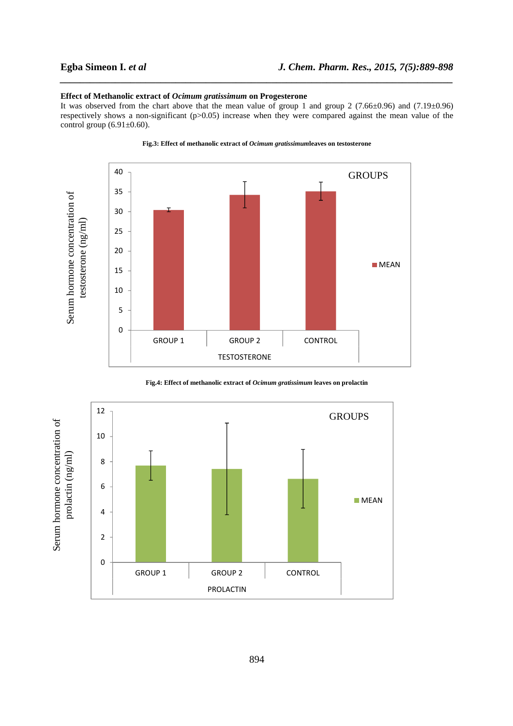## **Effect of Methanolic extract of** *Ocimum gratissimum* **on Progesterone**

It was observed from the chart above that the mean value of group 1 and group 2 (7.66±0.96) and (7.19±0.96) respectively shows a non-significant (p>0.05) increase when they were compared against the mean value of the control group  $(6.91\pm0.60)$ .

*\_\_\_\_\_\_\_\_\_\_\_\_\_\_\_\_\_\_\_\_\_\_\_\_\_\_\_\_\_\_\_\_\_\_\_\_\_\_\_\_\_\_\_\_\_\_\_\_\_\_\_\_\_\_\_\_\_\_\_\_\_\_\_\_\_\_\_\_\_\_\_\_\_\_\_\_\_\_*



#### **Fig.3: Effect of methanolic extract of** *Ocimum gratissimum***leaves on testosterone**

**Fig.4: Effect of methanolic extract of** *Ocimum gratissimum* **leaves on prolactin**

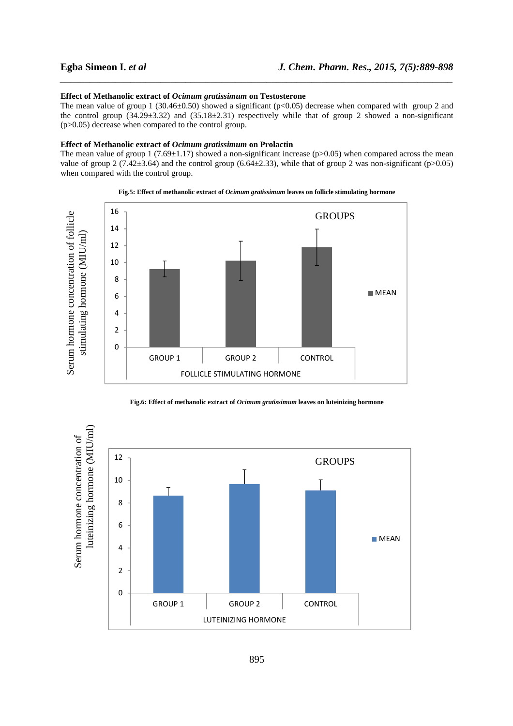### **Effect of Methanolic extract of** *Ocimum gratissimum* **on Testosterone**

The mean value of group 1 (30.46 $\pm$ 0.50) showed a significant (p<0.05) decrease when compared with group 2 and the control group  $(34.29\pm3.32)$  and  $(35.18\pm2.31)$  respectively while that of group 2 showed a non-significant (p>0.05) decrease when compared to the control group.

*\_\_\_\_\_\_\_\_\_\_\_\_\_\_\_\_\_\_\_\_\_\_\_\_\_\_\_\_\_\_\_\_\_\_\_\_\_\_\_\_\_\_\_\_\_\_\_\_\_\_\_\_\_\_\_\_\_\_\_\_\_\_\_\_\_\_\_\_\_\_\_\_\_\_\_\_\_\_*

#### **Effect of Methanolic extract of** *Ocimum gratissimum* **on Prolactin**

The mean value of group 1 (7.69 $\pm$ 1.17) showed a non-significant increase (p>0.05) when compared across the mean value of group 2 (7.42 $\pm$ 3.64) and the control group (6.64 $\pm$ 2.33), while that of group 2 was non-significant (p>0.05) when compared with the control group.





**Fig.6: Effect of methanolic extract of** *Ocimum gratissimum* **leaves on luteinizing hormone** 

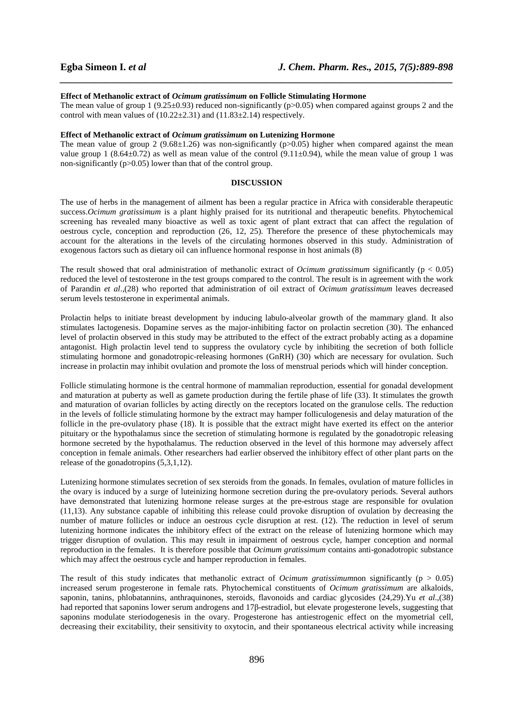#### **Effect of Methanolic extract of** *Ocimum gratissimum* **on Follicle Stimulating Hormone**

The mean value of group 1 (9.25±0.93) reduced non-significantly (p>0.05) when compared against groups 2 and the control with mean values of  $(10.22 \pm 2.31)$  and  $(11.83 \pm 2.14)$  respectively.

*\_\_\_\_\_\_\_\_\_\_\_\_\_\_\_\_\_\_\_\_\_\_\_\_\_\_\_\_\_\_\_\_\_\_\_\_\_\_\_\_\_\_\_\_\_\_\_\_\_\_\_\_\_\_\_\_\_\_\_\_\_\_\_\_\_\_\_\_\_\_\_\_\_\_\_\_\_\_*

#### **Effect of Methanolic extract of** *Ocimum gratissimum* **on Lutenizing Hormone**

The mean value of group 2 (9.68 $\pm$ 1.26) was non-significantly (p $> 0.05$ ) higher when compared against the mean value group 1 (8.64 $\pm$ 0.72) as well as mean value of the control (9.11 $\pm$ 0.94), while the mean value of group 1 was non-significantly (p>0.05) lower than that of the control group.

#### **DISCUSSION**

The use of herbs in the management of ailment has been a regular practice in Africa with considerable therapeutic success.*Ocimum gratissimum* is a plant highly praised for its nutritional and therapeutic benefits. Phytochemical screening has revealed many bioactive as well as toxic agent of plant extract that can affect the regulation of oestrous cycle, conception and reproduction (26, 12, 25). Therefore the presence of these phytochemicals may account for the alterations in the levels of the circulating hormones observed in this study. Administration of exogenous factors such as dietary oil can influence hormonal response in host animals (8)

The result showed that oral administration of methanolic extract of *Ocimum gratissimum* significantly (p < 0.05) reduced the level of testosterone in the test groups compared to the control. The result is in agreement with the work of Parandin *et al*.,(28) who reported that administration of oil extract of *Ocimum gratissimum* leaves decreased serum levels testosterone in experimental animals.

Prolactin helps to initiate breast development by inducing labulo-alveolar growth of the mammary gland. It also stimulates lactogenesis. Dopamine serves as the major-inhibiting factor on prolactin secretion (30). The enhanced level of prolactin observed in this study may be attributed to the effect of the extract probably acting as a dopamine antagonist. High prolactin level tend to suppress the ovulatory cycle by inhibiting the secretion of both follicle stimulating hormone and gonadotropic-releasing hormones (GnRH) (30) which are necessary for ovulation. Such increase in prolactin may inhibit ovulation and promote the loss of menstrual periods which will hinder conception.

Follicle stimulating hormone is the central hormone of mammalian reproduction, essential for gonadal development and maturation at puberty as well as gamete production during the fertile phase of life (33). It stimulates the growth and maturation of ovarian follicles by acting directly on the receptors located on the granulose cells. The reduction in the levels of follicle stimulating hormone by the extract may hamper folliculogenesis and delay maturation of the follicle in the pre-ovulatory phase (18). It is possible that the extract might have exerted its effect on the anterior pituitary or the hypothalamus since the secretion of stimulating hormone is regulated by the gonadotropic releasing hormone secreted by the hypothalamus. The reduction observed in the level of this hormone may adversely affect conception in female animals. Other researchers had earlier observed the inhibitory effect of other plant parts on the release of the gonadotropins (5,3,1,12).

Lutenizing hormone stimulates secretion of sex steroids from the gonads. In females, ovulation of mature follicles in the ovary is induced by a surge of luteinizing hormone secretion during the pre-ovulatory periods. Several authors have demonstrated that lutenizing hormone release surges at the pre-estrous stage are responsible for ovulation (11,13). Any substance capable of inhibiting this release could provoke disruption of ovulation by decreasing the number of mature follicles or induce an oestrous cycle disruption at rest. (12). The reduction in level of serum lutenizing hormone indicates the inhibitory effect of the extract on the release of lutenizing hormone which may trigger disruption of ovulation. This may result in impairment of oestrous cycle, hamper conception and normal reproduction in the females. It is therefore possible that *Ocimum gratissimum* contains anti-gonadotropic substance which may affect the oestrous cycle and hamper reproduction in females.

The result of this study indicates that methanolic extract of *Ocimum gratissimum*non significantly ( $p > 0.05$ ) increased serum progesterone in female rats. Phytochemical constituents of *Ocimum gratissimum* are alkaloids, saponin, tanins, phlobatannins, anthraquinones, steroids, flavonoids and cardiac glycosides (24,29).Yu *et al.,*(38) had reported that saponins lower serum androgens and 17β-estradiol, but elevate progesterone levels, suggesting that saponins modulate steriodogenesis in the ovary. Progesterone has antiestrogenic effect on the myometrial cell, decreasing their excitability, their sensitivity to oxytocin, and their spontaneous electrical activity while increasing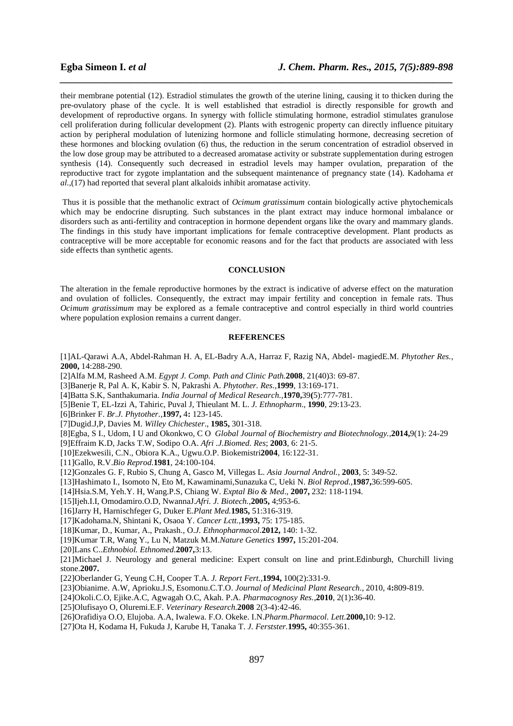their membrane potential (12). Estradiol stimulates the growth of the uterine lining, causing it to thicken during the pre-ovulatory phase of the cycle. It is well established that estradiol is directly responsible for growth and development of reproductive organs. In synergy with follicle stimulating hormone, estradiol stimulates granulose cell proliferation during follicular development (2). Plants with estrogenic property can directly influence pituitary action by peripheral modulation of lutenizing hormone and follicle stimulating hormone, decreasing secretion of these hormones and blocking ovulation (6) thus, the reduction in the serum concentration of estradiol observed in the low dose group may be attributed to a decreased aromatase activity or substrate supplementation during estrogen synthesis (14). Consequently such decreased in estradiol levels may hamper ovulation, preparation of the reproductive tract for zygote implantation and the subsequent maintenance of pregnancy state (14). Kadohama *et al.,*(17) had reported that several plant alkaloids inhibit aromatase activity.

*\_\_\_\_\_\_\_\_\_\_\_\_\_\_\_\_\_\_\_\_\_\_\_\_\_\_\_\_\_\_\_\_\_\_\_\_\_\_\_\_\_\_\_\_\_\_\_\_\_\_\_\_\_\_\_\_\_\_\_\_\_\_\_\_\_\_\_\_\_\_\_\_\_\_\_\_\_\_*

 Thus it is possible that the methanolic extract of *Ocimum gratissimum* contain biologically active phytochemicals which may be endocrine disrupting. Such substances in the plant extract may induce hormonal imbalance or disorders such as anti-fertility and contraception in hormone dependent organs like the ovary and mammary glands. The findings in this study have important implications for female contraceptive development. Plant products as contraceptive will be more acceptable for economic reasons and for the fact that products are associated with less side effects than synthetic agents.

# **CONCLUSION**

The alteration in the female reproductive hormones by the extract is indicative of adverse effect on the maturation and ovulation of follicles. Consequently, the extract may impair fertility and conception in female rats. Thus *Ocimum gratissimum* may be explored as a female contraceptive and control especially in third world countries where population explosion remains a current danger.

### **REFERENCES**

[1]AL-Qarawi A.A, Abdel-Rahman H. A, EL-Badry A.A, Harraz F, Razig NA, Abdel- magiedE.M. *Phytother Res.,*  **2000,** 14:288-290.

[2]Alfa M.M, Rasheed A.M. *Egypt J. Comp. Path and Clinic Path.***2008**, 21(40)3: 69-87.

[3]Banerje R, Pal A. K, Kabir S. N, Pakrashi A. *Phytother. Res.,***1999**, 13:169-171.

[4]Batta S.K, Santhakumaria. *India Journal of Medical Research.,***1970,**39**(**5):777-781.

[5]Benie T, EL-Izzi A, Tahiric, Puval J, Thieulant M. L. *J. Ethnopharm*., **1990**, 29:13-23.

[6]Brinker F. *Br.J. Phytother.,***1997,** 4**:** 123-145.

[7]Dugid.J,P, Davies M. *Willey Chichester*., **1985,** 301-318.

[8]Egba, S I., Udom, I U and Okonkwo, C O *Global Journal of Biochemistry and Biotechnology.,***2014,**9(1): 24-29

[9]Effraim K.D, Jacks T.W, Sodipo O.A. *Afri .J.Biomed. Res*; **2003**, 6: 21-5.

[10]Ezekwesili, C.N., Obiora K.A., Ugwu.O.P. Biokemistri**2004**, 16:122-31.

[11]Gallo, R.V.*Bio Reprod.***1981**, 24:100-104.

[12]Gonzales G. F, Rubio S, Chung A, Gasco M, Villegas L. *Asia Journal Androl.,* **2003**, 5: 349-52.

- [13]Hashimato I., Isomoto N, Eto M, Kawaminami,Sunazuka C, Ueki N. *Biol Reprod.,***1987,**36:599-605.
- [14]Hsia.S.M, Yeh.Y. H, Wang.P.S, Chiang W. *Exptal Bio & Med*., **2007,** 232: 118-1194.

[15]Ijeh.I.I, Omodamiro.O.D, NwannaJ.*Afri. J. Biotech.,***2005,** 4;953-6.

[16]Jarry H, Harnischfeger G, Duker E.*Plant Med.***1985,** 51:316-319.

[17]Kadohama.N, Shintani K, Osaoa Y. *Cancer Lctt.,***1993,** 75: 175-185.

[18]Kumar, D., Kumar, A., Prakash., O.*J. Ethnopharmacol.***2012,** 140: 1-32.

[19]Kumar T.R, Wang Y., Lu N, Matzuk M.M.*Nature Genetics* **1997,** 15:201-204.

[20]Lans C..*Ethnobiol. Ethnomed.***2007,**3:13.

[21]Michael J. Neurology and general medicine: Expert consult on line and print.Edinburgh, Churchill living stone.**2007.**

[22]Oberlander G, Yeung C.H, Cooper T.A. *J. Report Fert.,***1994,** 100(2):331-9.

[23]Obianime. A.W, Aprioku.J.S, Esomonu.C.T.O. *Journal of Medicinal Plant Research.*, 2010, 4**:**809-819.

[24]Okoli.C.O, Ejike.A.C, Agwagah O.C, Akah. P.A. *Pharmacognosy Res.,***2010**, 2(1)**:**36-40.

[25]Olufisayo O, Oluremi.E.F. *Veterinary Research.***2008** 2(3-4):42-46.

[26]Orafidiya O.O, Elujoba. A.A, Iwalewa. F.O. Okeke. I.N.*Pharm.Pharmacol. Lett.***2000,**10: 9-12.

[27]Ota H, Kodama H, Fukuda J, Karube H, Tanaka T. *J. Ferstster.***1995,** 40:355-361.